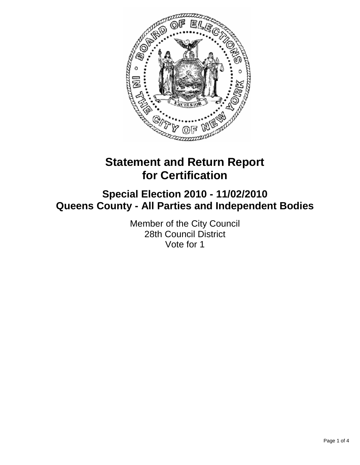

# **Statement and Return Report for Certification**

# **Special Election 2010 - 11/02/2010 Queens County - All Parties and Independent Bodies**

Member of the City Council 28th Council District Vote for 1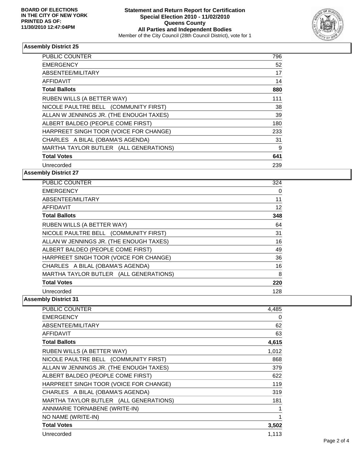

#### **Assembly District 25**

| <b>PUBLIC COUNTER</b>                   | 796 |
|-----------------------------------------|-----|
| <b>EMERGENCY</b>                        | 52  |
| ABSENTEE/MILITARY                       | 17  |
| <b>AFFIDAVIT</b>                        | 14  |
| <b>Total Ballots</b>                    | 880 |
| RUBEN WILLS (A BETTER WAY)              | 111 |
| NICOLE PAULTRE BELL (COMMUNITY FIRST)   | 38  |
| ALLAN W JENNINGS JR. (THE ENOUGH TAXES) | 39  |
| ALBERT BALDEO (PEOPLE COME FIRST)       | 180 |
| HARPREET SINGH TOOR (VOICE FOR CHANGE)  | 233 |
| CHARLES A BILAL (OBAMA'S AGENDA)        | 31  |
| MARTHA TAYLOR BUTLER (ALL GENERATIONS)  | 9   |
| <b>Total Votes</b>                      | 641 |
| Unrecorded                              | 239 |

**Assembly District 27** 

| PUBLIC COUNTER                          | 324 |
|-----------------------------------------|-----|
| <b>EMERGENCY</b>                        | 0   |
| ABSENTEE/MILITARY                       | 11  |
| <b>AFFIDAVIT</b>                        | 12  |
| <b>Total Ballots</b>                    | 348 |
| RUBEN WILLS (A BETTER WAY)              | 64  |
| NICOLE PAULTRE BELL (COMMUNITY FIRST)   | 31  |
| ALLAN W JENNINGS JR. (THE ENOUGH TAXES) | 16  |
| ALBERT BALDEO (PEOPLE COME FIRST)       | 49  |
| HARPREET SINGH TOOR (VOICE FOR CHANGE)  | 36  |
| CHARLES A BILAL (OBAMA'S AGENDA)        | 16  |
| MARTHA TAYLOR BUTLER (ALL GENERATIONS)  | 8   |
| <b>Total Votes</b>                      | 220 |
| Unrecorded                              | 128 |

**Assembly District 31** 

| PUBLIC COUNTER                          | 4,485 |
|-----------------------------------------|-------|
| <b>EMERGENCY</b>                        | 0     |
| ABSENTEE/MILITARY                       | 62    |
| <b>AFFIDAVIT</b>                        | 63    |
| <b>Total Ballots</b>                    | 4,615 |
| RUBEN WILLS (A BETTER WAY)              | 1,012 |
| NICOLE PAULTRE BELL (COMMUNITY FIRST)   | 868   |
| ALLAN W JENNINGS JR. (THE ENOUGH TAXES) | 379   |
| ALBERT BALDEO (PEOPLE COME FIRST)       | 622   |
| HARPREET SINGH TOOR (VOICE FOR CHANGE)  | 119   |
| CHARLES A BILAL (OBAMA'S AGENDA)        | 319   |
| MARTHA TAYLOR BUTLER (ALL GENERATIONS)  | 181   |
| ANNMARIE TORNABENE (WRITE-IN)           | 1     |
| NO NAME (WRITE-IN)                      | 1     |
| <b>Total Votes</b>                      | 3,502 |
| Unrecorded                              | 1,113 |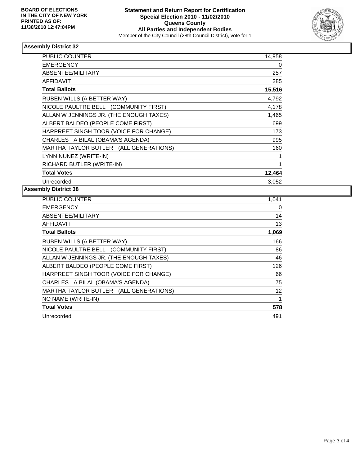

## **Assembly District 32**

| <b>PUBLIC COUNTER</b>                   | 14,958 |
|-----------------------------------------|--------|
| <b>EMERGENCY</b>                        | 0      |
| ABSENTEE/MILITARY                       | 257    |
| <b>AFFIDAVIT</b>                        | 285    |
| <b>Total Ballots</b>                    | 15,516 |
| RUBEN WILLS (A BETTER WAY)              | 4,792  |
| NICOLE PAULTRE BELL (COMMUNITY FIRST)   | 4,178  |
| ALLAN W JENNINGS JR. (THE ENOUGH TAXES) | 1,465  |
| ALBERT BALDEO (PEOPLE COME FIRST)       | 699    |
| HARPREET SINGH TOOR (VOICE FOR CHANGE)  | 173    |
| CHARLES A BILAL (OBAMA'S AGENDA)        | 995    |
| MARTHA TAYLOR BUTLER (ALL GENERATIONS)  | 160    |
| LYNN NUNEZ (WRITE-IN)                   |        |
| RICHARD BUTLER (WRITE-IN)               | 1      |
| <b>Total Votes</b>                      | 12,464 |
| Unrecorded                              | 3,052  |

## **Assembly District 38**

| <b>PUBLIC COUNTER</b>                   | 1,041 |
|-----------------------------------------|-------|
| <b>EMERGENCY</b>                        | 0     |
| ABSENTEE/MILITARY                       | 14    |
| AFFIDAVIT                               | 13    |
| <b>Total Ballots</b>                    | 1,069 |
| RUBEN WILLS (A BETTER WAY)              | 166   |
| NICOLE PAULTRE BELL (COMMUNITY FIRST)   | 86    |
| ALLAN W JENNINGS JR. (THE ENOUGH TAXES) | 46    |
| ALBERT BALDEO (PEOPLE COME FIRST)       | 126   |
| HARPREET SINGH TOOR (VOICE FOR CHANGE)  | 66    |
| CHARLES A BILAL (OBAMA'S AGENDA)        | 75    |
| MARTHA TAYLOR BUTLER (ALL GENERATIONS)  | 12    |
| NO NAME (WRITE-IN)                      | 1     |
| <b>Total Votes</b>                      | 578   |
| Unrecorded                              | 491   |